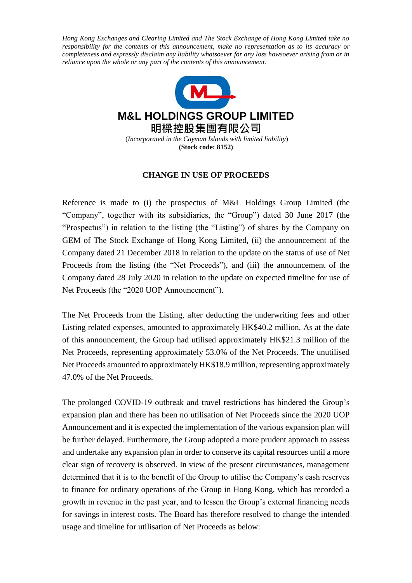*Hong Kong Exchanges and Clearing Limited and The Stock Exchange of Hong Kong Limited take no responsibility for the contents of this announcement, make no representation as to its accuracy or completeness and expressly disclaim any liability whatsoever for any loss howsoever arising from or in reliance upon the whole or any part of the contents of this announcement.*



## **CHANGE IN USE OF PROCEEDS**

Reference is made to (i) the prospectus of M&L Holdings Group Limited (the "Company", together with its subsidiaries, the "Group") dated 30 June 2017 (the "Prospectus") in relation to the listing (the "Listing") of shares by the Company on GEM of The Stock Exchange of Hong Kong Limited, (ii) the announcement of the Company dated 21 December 2018 in relation to the update on the status of use of Net Proceeds from the listing (the "Net Proceeds"), and (iii) the announcement of the Company dated 28 July 2020 in relation to the update on expected timeline for use of Net Proceeds (the "2020 UOP Announcement").

The Net Proceeds from the Listing, after deducting the underwriting fees and other Listing related expenses, amounted to approximately HK\$40.2 million. As at the date of this announcement, the Group had utilised approximately HK\$21.3 million of the Net Proceeds, representing approximately 53.0% of the Net Proceeds. The unutilised Net Proceeds amounted to approximately HK\$18.9 million, representing approximately 47.0% of the Net Proceeds.

The prolonged COVID-19 outbreak and travel restrictions has hindered the Group's expansion plan and there has been no utilisation of Net Proceeds since the 2020 UOP Announcement and it is expected the implementation of the various expansion plan will be further delayed. Furthermore, the Group adopted a more prudent approach to assess and undertake any expansion plan in order to conserve its capital resources until a more clear sign of recovery is observed. In view of the present circumstances, management determined that it is to the benefit of the Group to utilise the Company's cash reserves to finance for ordinary operations of the Group in Hong Kong, which has recorded a growth in revenue in the past year, and to lessen the Group's external financing needs for savings in interest costs. The Board has therefore resolved to change the intended usage and timeline for utilisation of Net Proceeds as below: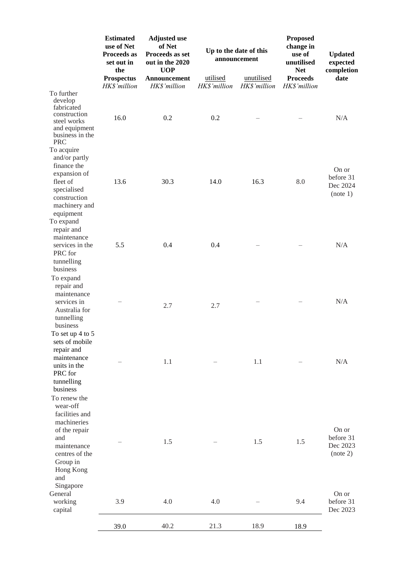|                                                                                                                                                  | <b>Estimated</b><br>use of Net<br>Proceeds as<br>set out in<br>the<br><b>Prospectus</b><br>HK\$'million | <b>Adjusted use</b><br>of Net<br>Proceeds as set<br>out in the 2020<br><b>UOP</b><br>Announcement<br>HK\$'million | Up to the date of this<br>announcement<br>utilised<br>unutilised |              | <b>Proposed</b><br>change in<br>use of<br>unutilised<br><b>Net</b><br><b>Proceeds</b> | <b>Updated</b><br>expected<br>completion<br>date |
|--------------------------------------------------------------------------------------------------------------------------------------------------|---------------------------------------------------------------------------------------------------------|-------------------------------------------------------------------------------------------------------------------|------------------------------------------------------------------|--------------|---------------------------------------------------------------------------------------|--------------------------------------------------|
|                                                                                                                                                  |                                                                                                         |                                                                                                                   | HK\$'million                                                     | HK\$'million | HK\$'million                                                                          |                                                  |
| To further<br>develop<br>fabricated<br>construction<br>steel works<br>and equipment<br>business in the<br><b>PRC</b>                             | 16.0                                                                                                    | 0.2                                                                                                               | 0.2                                                              |              |                                                                                       | N/A                                              |
| To acquire<br>and/or partly<br>finance the<br>expansion of<br>fleet of<br>specialised<br>construction<br>machinery and<br>equipment<br>To expand | 13.6                                                                                                    | 30.3                                                                                                              | 14.0                                                             | 16.3         | 8.0                                                                                   | On or<br>before 31<br>Dec 2024<br>(note 1)       |
| repair and<br>maintenance<br>services in the<br>PRC for<br>tunnelling<br>business                                                                | 5.5                                                                                                     | 0.4                                                                                                               | 0.4                                                              |              |                                                                                       | N/A                                              |
| To expand<br>repair and<br>maintenance<br>services in<br>Australia for<br>tunnelling<br>business                                                 |                                                                                                         | 2.7                                                                                                               | 2.7                                                              |              |                                                                                       | N/A                                              |
| To set up $4$ to $5$<br>sets of mobile<br>repair and<br>maintenance<br>units in the<br>PRC for<br>tunnelling<br>business<br>To renew the         |                                                                                                         | 1.1                                                                                                               |                                                                  | 1.1          |                                                                                       | N/A                                              |
| wear-off<br>facilities and<br>machineries<br>of the repair<br>and<br>maintenance<br>centres of the<br>Group in<br>Hong Kong<br>and               |                                                                                                         | 1.5                                                                                                               |                                                                  | 1.5          | 1.5                                                                                   | On or<br>before 31<br>Dec 2023<br>(note 2)       |
| Singapore<br>General<br>working<br>capital                                                                                                       | 3.9                                                                                                     | 4.0                                                                                                               | 4.0                                                              |              | 9.4                                                                                   | On or<br>before 31<br>Dec 2023                   |
|                                                                                                                                                  | 39.0                                                                                                    | 40.2                                                                                                              | 21.3                                                             | 18.9         | 18.9                                                                                  |                                                  |